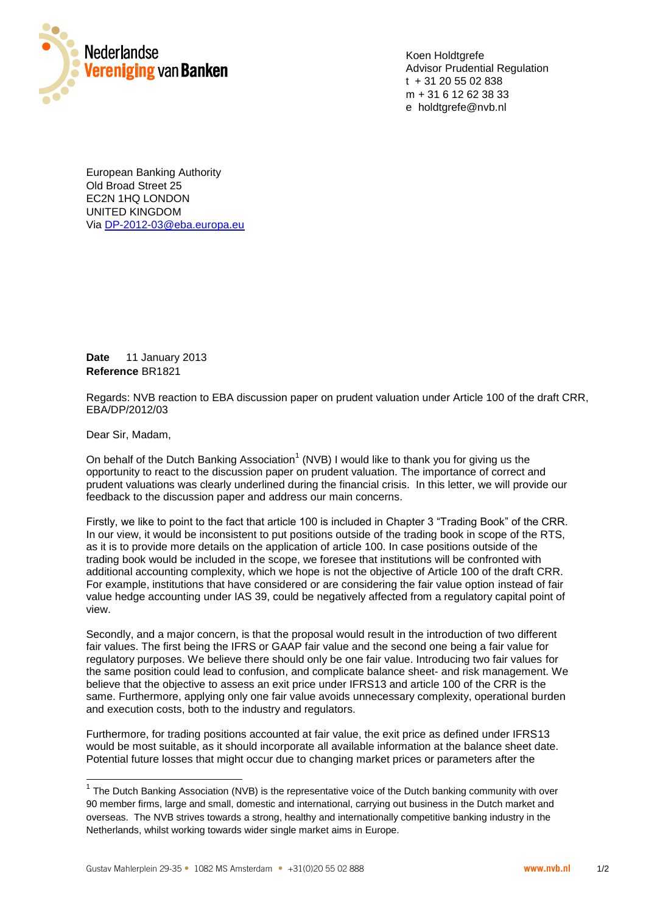

Koen Holdtgrefe Advisor Prudential Regulation t + 31 20 55 02 838 m + 31 6 12 62 38 33 e holdtgrefe@nvb.nl

European Banking Authority European Banking Authority Old Broad Street 25 Old Broad Street 25 EC2N 1HQ LONDON EC2N 1HQ LONDON UNITED KINGDOM UNITED KINGDOM Via [DP-2012-03@eba.europa.eu](mailto:DP-2012-03@eba.europa.eu)

**Date** 11 January 2013 **Reference** BR1821

Regards: NVB reaction to EBA discussion paper on prudent valuation under Article 100 of the draft CRR, EBA/DP/2012/03

Dear Sir, Madam,

-

On behalf of the Dutch Banking Association<sup>1</sup> (NVB) I would like to thank you for giving us the opportunity to react to the discussion paper on prudent valuation. The importance of correct and prudent valuations was clearly underlined during the financial crisis. In this letter, we will provide our feedback to the discussion paper and address our main concerns.

Firstly, we like to point to the fact that article 100 is included in Chapter 3 "Trading Book" of the CRR. In our view, it would be inconsistent to put positions outside of the trading book in scope of the RTS, as it is to provide more details on the application of article 100. In case positions outside of the trading book would be included in the scope, we foresee that institutions will be confronted with additional accounting complexity, which we hope is not the objective of Article 100 of the draft CRR. For example, institutions that have considered or are considering the fair value option instead of fair value hedge accounting under IAS 39, could be negatively affected from a regulatory capital point of view.

Secondly, and a major concern, is that the proposal would result in the introduction of two different fair values. The first being the IFRS or GAAP fair value and the second one being a fair value for regulatory purposes. We believe there should only be one fair value. Introducing two fair values for the same position could lead to confusion, and complicate balance sheet- and risk management. We believe that the objective to assess an exit price under IFRS13 and article 100 of the CRR is the same. Furthermore, applying only one fair value avoids unnecessary complexity, operational burden and execution costs, both to the industry and regulators.

Furthermore, for trading positions accounted at fair value, the exit price as defined under IFRS13 would be most suitable, as it should incorporate all available information at the balance sheet date. Potential future losses that might occur due to changing market prices or parameters after the

 $1$  The Dutch Banking Association (NVB) is the representative voice of the Dutch banking community with over 90 member firms, large and small, domestic and international, carrying out business in the Dutch market and overseas. The NVB strives towards a strong, healthy and internationally competitive banking industry in the Netherlands, whilst working towards wider single market aims in Europe.